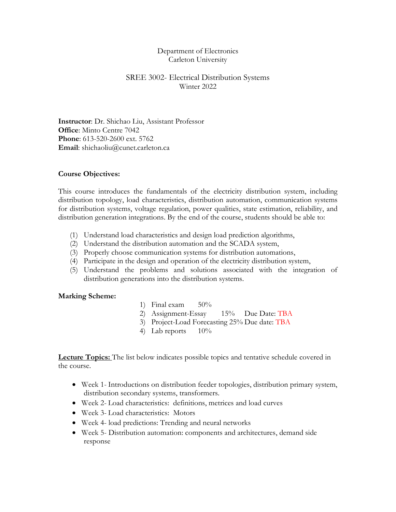### Department of Electronics Carleton University

## SREE 3002- Electrical Distribution Systems Winter 2022

**Instructor**: Dr. Shichao Liu, Assistant Professor **Office**: Minto Centre 7042 **Phone**: 613-520-2600 ext. 5762 Email: shichaoliu@cunet.carleton.ca

#### **Course Objectives:**

This course introduces the fundamentals of the electricity distribution system, including distribution topology, load characteristics, distribution automation, communication systems for distribution systems, voltage regulation, power qualities, state estimation, reliability, and distribution generation integrations. By the end of the course, students should be able to:

- (1) Understand load characteristics and design load prediction algorithms,
- (2) Understand the distribution automation and the SCADA system,
- (3) Properly choose communication systems for distribution automations,
- (4) Participate in the design and operation of the electricity distribution system,
- (5) Understand the problems and solutions associated with the integration of distribution generations into the distribution systems.

#### **Marking Scheme:**

- 1) Final exam  $50\%$
- 2) Assignment-Essay 15% Due Date: TBA
- 3) Project-Load Forecasting 25% Due date: TBA
- 4) Lab reports  $10\%$

**Lecture Topics:** The list below indicates possible topics and tentative schedule covered in the course.

- Week 1- Introductions on distribution feeder topologies, distribution primary system, distribution secondary systems, transformers.
- Week 2- Load characteristics: definitions, metrices and load curves
- Week 3- Load characteristics: Motors
- Week 4- load predictions: Trending and neural networks
- Week 5- Distribution automation: components and architectures, demand side response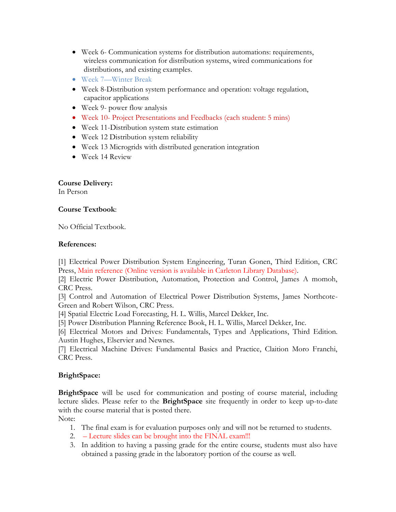- Week 6- Communication systems for distribution automations: requirements, wireless communication for distribution systems, wired communications for distributions, and existing examples.
- Week 7—Winter Break
- Week 8-Distribution system performance and operation: voltage regulation, capacitor applications
- Week 9- power flow analysis
- Week 10- Project Presentations and Feedbacks (each student: 5 mins)
- Week 11-Distribution system state estimation
- Week 12 Distribution system reliability
- Week 13 Microgrids with distributed generation integration
- Week 14 Review

# **Course Delivery:**

In Person

## **Course Textbook**:

No Official Textbook.

## **References:**

[1] Electrical Power Distribution System Engineering, Turan Gonen, Third Edition, CRC Press, Main reference (Online version is available in Carleton Library Database).

[2] Electric Power Distribution, Automation, Protection and Control, James A momoh, CRC Press.

[3] Control and Automation of Electrical Power Distribution Systems, James Northcote-Green and Robert Wilson, CRC Press.

[4] Spatial Electric Load Forecasting, H. L. Willis, Marcel Dekker, Inc.

[5] Power Distribution Planning Reference Book, H. L. Willis, Marcel Dekker, Inc.

[6] Electrical Motors and Drives: Fundamentals, Types and Applications, Third Edition. Austin Hughes, Elservier and Newnes.

[7] Electrical Machine Drives: Fundamental Basics and Practice, Claition Moro Franchi, CRC Press.

# **BrightSpace:**

**BrightSpace** will be used for communication and posting of course material, including lecture slides. Please refer to the **BrightSpace** site frequently in order to keep up-to-date with the course material that is posted there.

Note:

- 1. The final exam is for evaluation purposes only and will not be returned to students.
- 2. Lecture slides can be brought into the FINAL exam!!!
- 3. In addition to having a passing grade for the entire course, students must also have obtained a passing grade in the laboratory portion of the course as well.